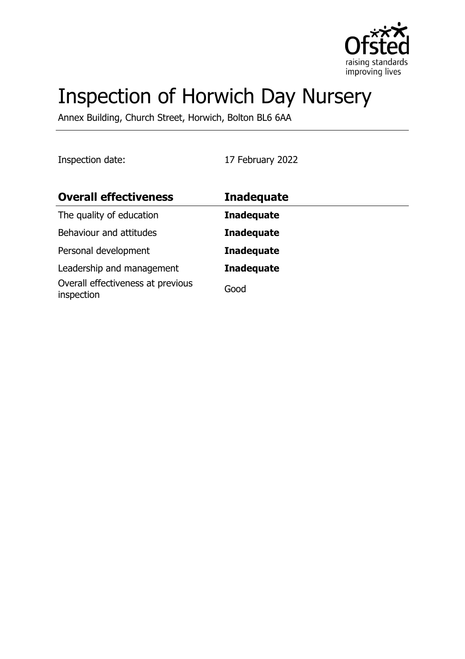

# Inspection of Horwich Day Nursery

Annex Building, Church Street, Horwich, Bolton BL6 6AA

Inspection date: 17 February 2022

| <b>Overall effectiveness</b>                    | <b>Inadequate</b> |
|-------------------------------------------------|-------------------|
| The quality of education                        | <b>Inadequate</b> |
| Behaviour and attitudes                         | <b>Inadequate</b> |
| Personal development                            | <b>Inadequate</b> |
| Leadership and management                       | <b>Inadequate</b> |
| Overall effectiveness at previous<br>inspection | Good              |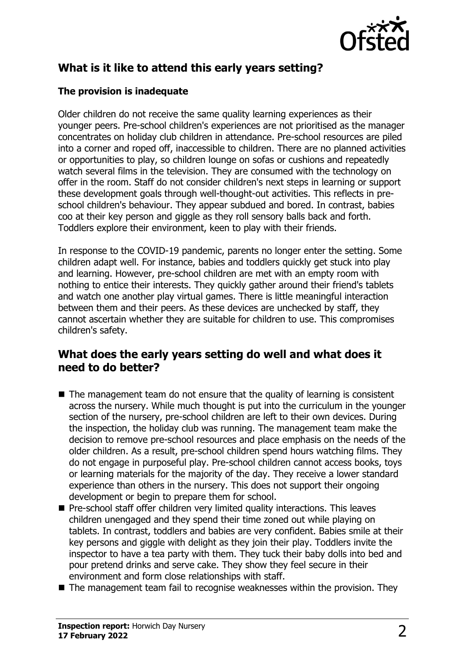

# **What is it like to attend this early years setting?**

## **The provision is inadequate**

Older children do not receive the same quality learning experiences as their younger peers. Pre-school children's experiences are not prioritised as the manager concentrates on holiday club children in attendance. Pre-school resources are piled into a corner and roped off, inaccessible to children. There are no planned activities or opportunities to play, so children lounge on sofas or cushions and repeatedly watch several films in the television. They are consumed with the technology on offer in the room. Staff do not consider children's next steps in learning or support these development goals through well-thought-out activities. This reflects in preschool children's behaviour. They appear subdued and bored. In contrast, babies coo at their key person and giggle as they roll sensory balls back and forth. Toddlers explore their environment, keen to play with their friends.

In response to the COVID-19 pandemic, parents no longer enter the setting. Some children adapt well. For instance, babies and toddlers quickly get stuck into play and learning. However, pre-school children are met with an empty room with nothing to entice their interests. They quickly gather around their friend's tablets and watch one another play virtual games. There is little meaningful interaction between them and their peers. As these devices are unchecked by staff, they cannot ascertain whether they are suitable for children to use. This compromises children's safety.

## **What does the early years setting do well and what does it need to do better?**

- $\blacksquare$  The management team do not ensure that the quality of learning is consistent across the nursery. While much thought is put into the curriculum in the younger section of the nursery, pre-school children are left to their own devices. During the inspection, the holiday club was running. The management team make the decision to remove pre-school resources and place emphasis on the needs of the older children. As a result, pre-school children spend hours watching films. They do not engage in purposeful play. Pre-school children cannot access books, toys or learning materials for the majority of the day. They receive a lower standard experience than others in the nursery. This does not support their ongoing development or begin to prepare them for school.
- $\blacksquare$  Pre-school staff offer children very limited quality interactions. This leaves children unengaged and they spend their time zoned out while playing on tablets. In contrast, toddlers and babies are very confident. Babies smile at their key persons and giggle with delight as they join their play. Toddlers invite the inspector to have a tea party with them. They tuck their baby dolls into bed and pour pretend drinks and serve cake. They show they feel secure in their environment and form close relationships with staff.
- $\blacksquare$  The management team fail to recognise weaknesses within the provision. They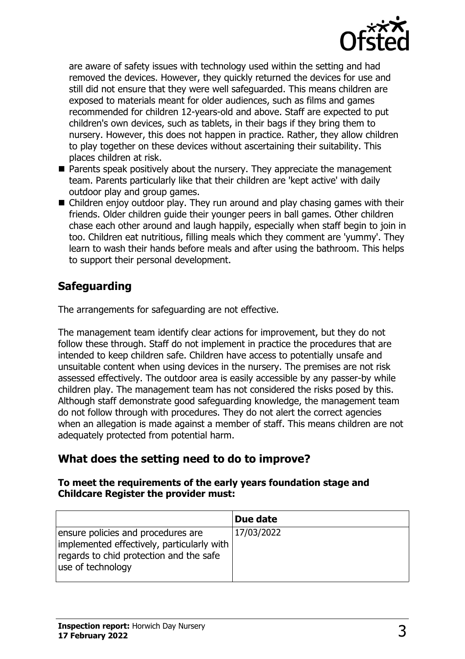

are aware of safety issues with technology used within the setting and had removed the devices. However, they quickly returned the devices for use and still did not ensure that they were well safeguarded. This means children are exposed to materials meant for older audiences, such as films and games recommended for children 12-years-old and above. Staff are expected to put children's own devices, such as tablets, in their bags if they bring them to nursery. However, this does not happen in practice. Rather, they allow children to play together on these devices without ascertaining their suitability. This places children at risk.

- $\blacksquare$  Parents speak positively about the nursery. They appreciate the management team. Parents particularly like that their children are 'kept active' with daily outdoor play and group games.
- $\blacksquare$  Children enjoy outdoor play. They run around and play chasing games with their friends. Older children guide their younger peers in ball games. Other children chase each other around and laugh happily, especially when staff begin to join in too. Children eat nutritious, filling meals which they comment are 'yummy'. They learn to wash their hands before meals and after using the bathroom. This helps to support their personal development.

# **Safeguarding**

The arrangements for safeguarding are not effective.

The management team identify clear actions for improvement, but they do not follow these through. Staff do not implement in practice the procedures that are intended to keep children safe. Children have access to potentially unsafe and unsuitable content when using devices in the nursery. The premises are not risk assessed effectively. The outdoor area is easily accessible by any passer-by while children play. The management team has not considered the risks posed by this. Although staff demonstrate good safeguarding knowledge, the management team do not follow through with procedures. They do not alert the correct agencies when an allegation is made against a member of staff. This means children are not adequately protected from potential harm.

# **What does the setting need to do to improve?**

#### **To meet the requirements of the early years foundation stage and Childcare Register the provider must:**

|                                                                                                                                                  | Due date   |
|--------------------------------------------------------------------------------------------------------------------------------------------------|------------|
| ensure policies and procedures are<br>implemented effectively, particularly with<br>regards to chid protection and the safe<br>use of technology | 17/03/2022 |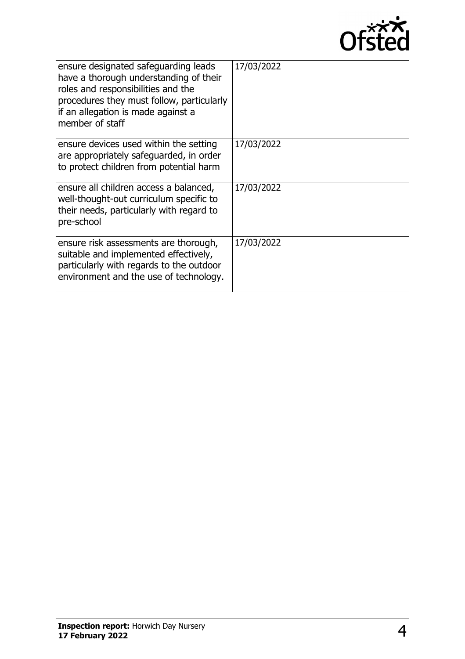

| ensure designated safeguarding leads<br>have a thorough understanding of their<br>roles and responsibilities and the<br>procedures they must follow, particularly<br>if an allegation is made against a<br>member of staff | 17/03/2022 |
|----------------------------------------------------------------------------------------------------------------------------------------------------------------------------------------------------------------------------|------------|
| ensure devices used within the setting<br>are appropriately safeguarded, in order<br>to protect children from potential harm                                                                                               | 17/03/2022 |
| ensure all children access a balanced,<br>well-thought-out curriculum specific to<br>their needs, particularly with regard to<br>pre-school                                                                                | 17/03/2022 |
| ensure risk assessments are thorough,<br>suitable and implemented effectively,<br>particularly with regards to the outdoor<br>environment and the use of technology.                                                       | 17/03/2022 |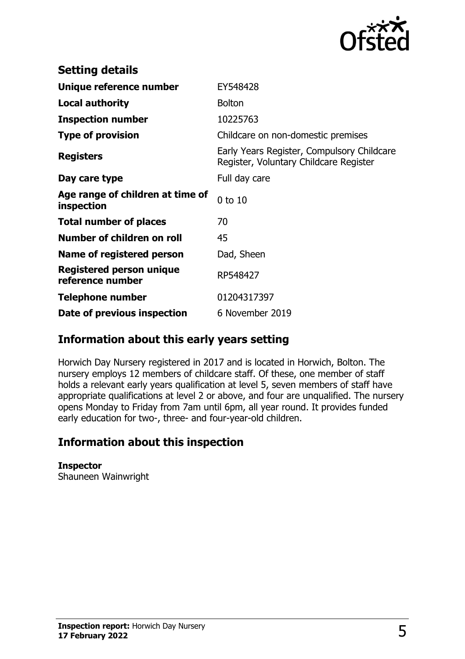

| <b>Setting details</b>                              |                                                                                      |
|-----------------------------------------------------|--------------------------------------------------------------------------------------|
| Unique reference number                             | EY548428                                                                             |
| <b>Local authority</b>                              | <b>Bolton</b>                                                                        |
| <b>Inspection number</b>                            | 10225763                                                                             |
| <b>Type of provision</b>                            | Childcare on non-domestic premises                                                   |
| <b>Registers</b>                                    | Early Years Register, Compulsory Childcare<br>Register, Voluntary Childcare Register |
| Day care type                                       | Full day care                                                                        |
| Age range of children at time of<br>inspection      | $0$ to $10$                                                                          |
| <b>Total number of places</b>                       | 70                                                                                   |
| Number of children on roll                          | 45                                                                                   |
| Name of registered person                           | Dad, Sheen                                                                           |
| <b>Registered person unique</b><br>reference number | RP548427                                                                             |
| <b>Telephone number</b>                             | 01204317397                                                                          |
| Date of previous inspection                         | 6 November 2019                                                                      |

## **Information about this early years setting**

Horwich Day Nursery registered in 2017 and is located in Horwich, Bolton. The nursery employs 12 members of childcare staff. Of these, one member of staff holds a relevant early years qualification at level 5, seven members of staff have appropriate qualifications at level 2 or above, and four are unqualified. The nursery opens Monday to Friday from 7am until 6pm, all year round. It provides funded early education for two-, three- and four-year-old children.

## **Information about this inspection**

### **Inspector**

Shauneen Wainwright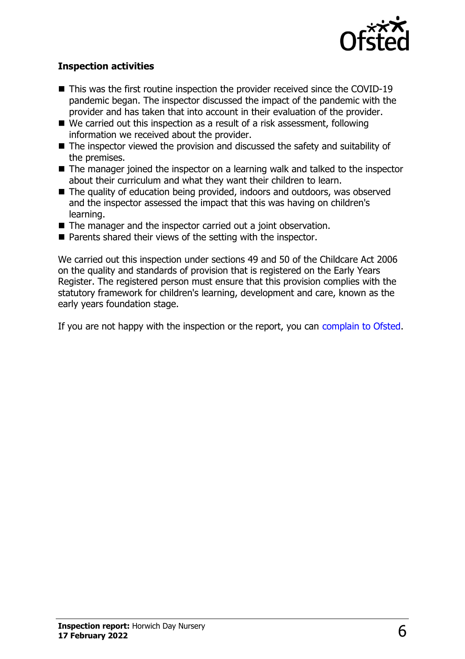

## **Inspection activities**

- $\blacksquare$  This was the first routine inspection the provider received since the COVID-19 pandemic began. The inspector discussed the impact of the pandemic with the provider and has taken that into account in their evaluation of the provider.
- $\blacksquare$  We carried out this inspection as a result of a risk assessment, following information we received about the provider.
- $\blacksquare$  The inspector viewed the provision and discussed the safety and suitability of the premises.
- $\blacksquare$  The manager joined the inspector on a learning walk and talked to the inspector about their curriculum and what they want their children to learn.
- $\blacksquare$  The quality of education being provided, indoors and outdoors, was observed and the inspector assessed the impact that this was having on children's learning.
- $\blacksquare$  The manager and the inspector carried out a joint observation.
- $\blacksquare$  Parents shared their views of the setting with the inspector.

We carried out this inspection under sections 49 and 50 of the Childcare Act 2006 on the quality and standards of provision that is registered on the Early Years Register. The registered person must ensure that this provision complies with the statutory framework for children's learning, development and care, known as the early years foundation stage.

If you are not happy with the inspection or the report, you can [complain to Ofsted](http://www.gov.uk/complain-ofsted-report).